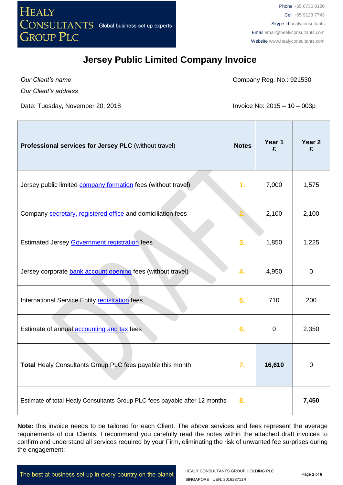

*Our Client's name*

Company Reg. No.: 921530

*Our Client's address*

Date: Tuesday, November 20, 2018 **Invoice No: 2015 – 10 – 003p** 

| Professional services for Jersey PLC (without travel)                      | <b>Notes</b> | Year 1<br>£ | Year <sub>2</sub><br>£ |
|----------------------------------------------------------------------------|--------------|-------------|------------------------|
| Jersey public limited <b>company formation</b> fees (without travel)       | 1.           | 7,000       | 1,575                  |
| Company secretary, registered office and domiciliation fees                |              | 2,100       | 2,100                  |
| Estimated Jersey Government registration fees                              | 3.           | 1,850       | 1,225                  |
| Jersey corporate bank account opening fees (without travel)                | 4.           | 4,950       | $\mathbf 0$            |
| International Service Entity registration fees                             | 5.           | 710         | 200                    |
| Estimate of annual accounting and tax fees                                 | 6.           | $\pmb{0}$   | 2,350                  |
| Total Healy Consultants Group PLC fees payable this month                  | 7.           | 16,610      | $\overline{0}$         |
| Estimate of total Healy Consultants Group PLC fees payable after 12 months | 8.           |             | 7,450                  |

**Note:** this invoice needs to be tailored for each Client. The above services and fees represent the average requirements of our Clients. I recommend you carefully read the notes within the attached draft invoices to confirm and understand all services required by your Firm, eliminating the risk of unwanted fee surprises during the engagement;

The best at business set up in every country on the planet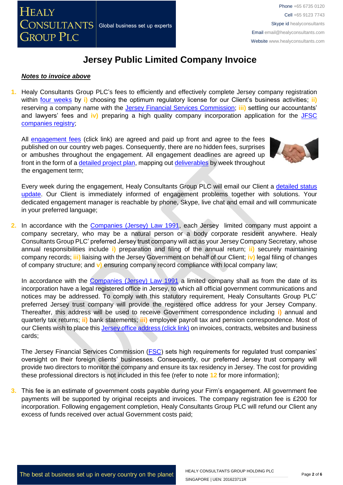#### *Notes to invoice above*

**1.** Healy Consultants Group PLC's fees to efficiently and effectively complete Jersey company registration within [four weeks](http://www.healyconsultants.com/jersey-company-registration/fees-timelines/) by **i)** choosing the optimum regulatory license for our Client's business activities; **ii)** reserving a company name with the [Jersey Financial Services Commission;](http://www.jerseyfsc.org/registry/) **iii)** settling our accountants' and lawyers' fees and **iv)** preparing a high quality company incorporation application for the [JFSC](http://www.jerseyfsc.org/registry/)  [companies registry;](http://www.jerseyfsc.org/registry/)

All [engagement fees](http://www.healyconsultants.com/company-registration-fees/) (click link) are agreed and paid up front and agree to the fees published on our country web pages. Consequently, there are no hidden fees, surprises or ambushes throughout the engagement. All engagement deadlines are agreed up front in the form of a [detailed project plan,](http://www.healyconsultants.com/index-important-links/example-project-plan/) mapping out [deliverables](http://www.healyconsultants.com/deliverables-to-our-clients/) by week throughout the engagement term;



Every week during the engagement, Healy Consultants Group PLC will email our Client a [detailed status](http://www.healyconsultants.com/index-important-links/weekly-engagement-status-email/)  [update.](http://www.healyconsultants.com/index-important-links/weekly-engagement-status-email/) Our Client is immediately informed of engagement problems together with solutions. Your dedicated engagement manager is reachable by phone, Skype, live chat and email and will communicate in your preferred language;

2. In accordance with the [Companies \(Jersey\) Law 1991,](http://www.jerseylaw.je/Law/display.aspx?url=lawsinforce%2fconsolidated%2f13%2f13.125_CompaniesLaw1991_RevisedEdition_2January2014.htm) each Jersey limited company must appoint a company secretary, who may be a natural person or a body corporate resident anywhere. Healy Consultants Group PLC' preferred Jersey trust company will act as your Jersey Company Secretary, whose annual responsibilities include **i)** preparation and filing of the annual return; **ii)** securely maintaining company records; **iii)** liaising with the Jersey Government on behalf of our Client; **iv)** legal filing of changes of company structure; and **v)** ensuring company record compliance with local company law;

In accordance with the [Companies \(Jersey\) Law 1991](http://www.jerseylaw.je/Law/display.aspx?url=lawsinforce%2fconsolidated%2f13%2f13.125_CompaniesLaw1991_RevisedEdition_2January2014.htm) a limited company shall as from the date of its incorporation have a legal registered office in Jersey, to which all official government communications and notices may be addressed. To comply with this statutory requirement, Healy Consultants Group PLC' preferred Jersey trust company will provide the registered office address for your Jersey Company. Thereafter, this address will be used to receive Government correspondence including **i)** annual and quarterly tax returns; **ii)** bank statements; **iii)** employee payroll tax and pension correspondence. Most of our Clients wish to place this [Jersey office address \(click link\)](http://www.healyconsultants.com/virtual-office/) on invoices, contracts, websites and business cards;

The Jersey Financial Services Commission [\(FSC\)](http://www.jerseyfsc.org/) sets high requirements for regulated trust companies' oversight on their foreign clients' businesses. Consequently, our preferred Jersey trust company will provide two directors to monitor the company and ensure its tax residency in Jersey. The cost for providing these professional directors is not included in this fee (refer to note **12** for more information);

**3.** This fee is an estimate of government costs payable during your Firm's engagement. All government fee payments will be supported by original receipts and invoices. The company registration fee is £200 for incorporation. Following engagement completion, Healy Consultants Group PLC will refund our Client any excess of funds received over actual Government costs paid;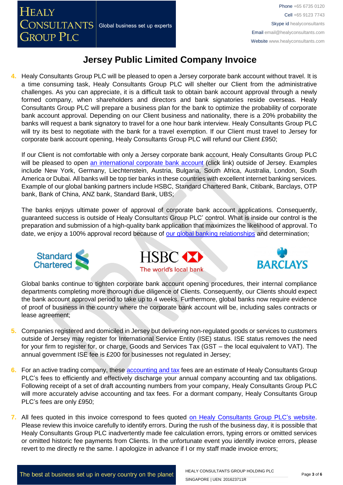**4.** Healy Consultants Group PLC will be pleased to open a Jersey corporate bank account without travel. It is a time consuming task, Healy Consultants Group PLC will shelter our Client from the administrative challenges. As you can appreciate, it is a difficult task to obtain bank account approval through a newly formed company, when shareholders and directors and bank signatories reside overseas. Healy Consultants Group PLC will prepare a business plan for the bank to optimize the probability of corporate bank account approval. Depending on our Client business and nationality, there is a 20% probability the banks will request a bank signatory to travel for a one hour bank interview. Healy Consultants Group PLC will try its best to negotiate with the bank for a travel exemption. If our Client must travel to Jersey for corporate bank account opening, Healy Consultants Group PLC will refund our Client £950;

If our Client is not comfortable with only a Jersey corporate bank account, Healy Consultants Group PLC will be pleased to open [an international corporate bank account](http://www.healyconsultants.com/international-banking/) (click link) outside of Jersey. Examples include New York, Germany, Liechtenstein, Austria, Bulgaria, South Africa, Australia, London, South America or Dubai. All banks will be top tier banks in these countries with excellent internet banking services. Example of our global banking partners include HSBC, Standard Chartered Bank, Citibank, Barclays, OTP bank, Bank of China, ANZ bank, Standard Bank, UBS;

The banks enjoys ultimate power of approval of corporate bank account applications. Consequently, guaranteed success is outside of Healy Consultants Group PLC' control. What is inside our control is the preparation and submission of a high-quality bank application that maximizes the likelihood of approval. To date, we enjoy a 100% approval record because of [our global banking relationships](http://www.healyconsultants.com/international-banking/corporate-accounts/) and determination;







Global banks continue to tighten corporate bank account opening procedures, their internal compliance departments completing more thorough due diligence of Clients. Consequently, our Clients should expect the bank account approval period to take up to 4 weeks. Furthermore, global banks now require evidence of proof of business in the country where the corporate bank account will be, including sales contracts or lease agreement;

- **5.** Companies registered and domiciled in Jersey but delivering non-regulated goods or services to customers outside of Jersey may register for International Service Entity (ISE) status. ISE status removes the need for your firm to register for, or charge, Goods and Services Tax (GST – the local equivalent to VAT). The annual government ISE fee is £200 for businesses not regulated in Jersey;
- **6.** For an active trading company, thes[e accounting and tax](http://www.healyconsultants.com/jersey-company-registration/accounting-legal/) fees are an estimate of Healy Consultants Group PLC's fees to efficiently and effectively discharge your annual company accounting and tax obligations. Following receipt of a set of draft accounting numbers from your company, Healy Consultants Group PLC will more accurately advise accounting and tax fees. For a dormant company, Healy Consultants Group PLC's fees are only £950;
- **7.** All fees quoted in this invoice correspond to fees quoted [on Healy Consultants Group PLC's](http://www.healyconsultants.com/company-registration-fees/) website. Please review this invoice carefully to identify errors. During the rush of the business day, it is possible that Healy Consultants Group PLC inadvertently made fee calculation errors, typing errors or omitted services or omitted historic fee payments from Clients. In the unfortunate event you identify invoice errors, please revert to me directly re the same. I apologize in advance if I or my staff made invoice errors;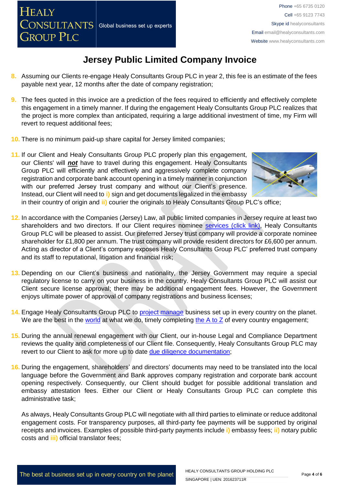- **8.** Assuming our Clients re-engage Healy Consultants Group PLC in year 2, this fee is an estimate of the fees payable next year, 12 months after the date of company registration;
- **9.** The fees quoted in this invoice are a prediction of the fees required to efficiently and effectively complete this engagement in a timely manner. If during the engagement Healy Consultants Group PLC realizes that the project is more complex than anticipated, requiring a large additional investment of time, my Firm will revert to request additional fees;
- **10.** There is no minimum paid-up share capital for Jersey limited companies;
- **11.** If our Client and Healy Consultants Group PLC properly plan this engagement, our Clients' will *not* have to travel during this engagement. Healy Consultants Group PLC will efficiently and effectively and aggressively complete company registration and corporate bank account opening in a timely manner in conjunction with our preferred Jersey trust company and without our Client's presence. Instead, our Client will need to **i)** sign and get documents legalized in the embassy



in their country of origin and **ii)** courier the originals to Healy Consultants Group PLC's office;

- **12.** In accordance with the Companies (Jersey) Law, all public limited companies in Jersey require at least two shareholders and two directors. If our Client requires nominee [services \(click link\),](http://www.healyconsultants.com/corporate-outsourcing-services/nominee-shareholders-directors/) Healy Consultants Group PLC will be pleased to assist. Our preferred Jersey trust company will provide a corporate nominee shareholder for £1,800 per annum. The trust company will provide resident directors for £6,600 per annum. Acting as director of a Client's company exposes Healy Consultants Group PLC' preferred trust company and its staff to reputational, litigation and financial risk;
- **13.** Depending on our Client's business and nationality, the Jersey Government may require a special regulatory license to carry on your business in the country. Healy Consultants Group PLC will assist our Client secure license approval; there may be additional engagement fees. However, the Government enjoys ultimate power of approval of company registrations and business licenses;
- **14.** Engage Healy Consultants Group PLC to [project manage](http://www.healyconsultants.com/project-manage-engagements/) business set up in every country on the planet. We are the best in the [world](http://www.healyconsultants.com/best-in-the-world/) at what we do, timely completing the [A to Z](http://www.healyconsultants.com/a-to-z-of-business-set-up/) of every country engagement;
- **15.** During the annual renewal engagement with our Client, our in-house Legal and Compliance Department reviews the quality and completeness of our Client file. Consequently, Healy Consultants Group PLC may revert to our Client to ask for more up to date [due diligence documentation;](http://www.healyconsultants.com/due-diligence/)
- **16.** During the engagement, shareholders' and directors' documents may need to be translated into the local language before the Government and Bank approves company registration and corporate bank account opening respectively. Consequently, our Client should budget for possible additional translation and embassy attestation fees. Either our Client or Healy Consultants Group PLC can complete this administrative task;

As always, Healy Consultants Group PLC will negotiate with all third parties to eliminate or reduce additonal engagement costs. For transparency purposes, all third-party fee payments will be supported by original receipts and invoices. Examples of possible third-party payments include **i)** embassy fees; **ii)** notary public costs and **iii)** official translator fees;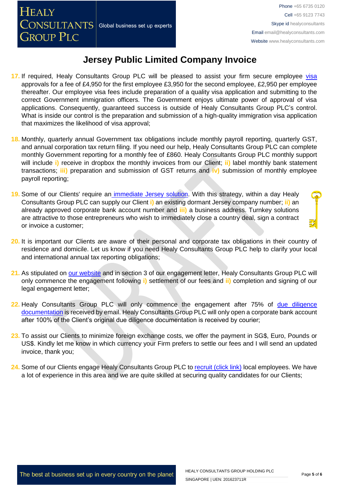- 17. If required, Healy Consultants Group PLC will be pleased to assist your firm secure employee [visa](http://www.healyconsultants.com/jersey-company-registration/formation-support-services/) approvals for a fee of £4,950 for the first employee £3,950 for the second employee, £2,950 per employee thereafter. Our employee visa fees include preparation of a quality visa application and submitting to the correct Government immigration officers. The Government enjoys ultimate power of approval of visa applications. Consequently, guaranteed success is outside of Healy Consultants Group PLC's control. What is inside our control is the preparation and submission of a high-quality immigration visa application that maximizes the likelihood of visa approval;
- **18.** Monthly, quarterly annual Government tax obligations include monthly payroll reporting, quarterly GST, and annual corporation tax return filing. If you need our help, Healy Consultants Group PLC can complete monthly Government reporting for a monthly fee of £860. Healy Consultants Group PLC monthly support will include **i)** receive in dropbox the monthly invoices from our Client; **ii)** label monthly bank statement transactions; **iii)** preparation and submission of GST returns and **iv)** submission of monthly employee payroll reporting;
- **19.** Some of our Clients' require an [immediate Jersey](http://www.healyconsultants.com/turnkey-solutions/) solution. With this strategy, within a day Healy Consultants Group PLC can supply our Client **i)** an existing dormant Jersey company number; **ii)** an already approved corporate bank account number and **iii)** a business address. Turnkey solutions are attractive to those entrepreneurs who wish to immediately close a country deal, sign a contract or invoice a customer;
- **20.** It is important our Clients are aware of their personal and corporate tax obligations in their country of residence and domicile. Let us know if you need Healy Consultants Group PLC help to clarify your local and international annual tax reporting obligations;
- **21.** As stipulated on [our website](http://www.healyconsultants.com/) and in section 3 of our engagement letter, Healy Consultants Group PLC will only commence the engagement following **i)** settlement of our fees and **ii)** completion and signing of our legal engagement letter;
- **22.** Healy Consultants Group PLC will only commence the engagement after 75% of [due diligence](http://www.healyconsultants.com/due-diligence/)  [documentation](http://www.healyconsultants.com/due-diligence/) is received by email. Healy Consultants Group PLC will only open a corporate bank account after 100% of the Client's original due diligence documentation is received by courier;
- **23.** To assist our Clients to minimize foreign exchange costs, we offer the payment in SG\$, Euro, Pounds or US\$. Kindly let me know in which currency your Firm prefers to settle our fees and I will send an updated invoice, thank you;
- 24. Some of our Clients engage Healy Consultants Group PLC to [recruit \(click link\)](http://www.healyconsultants.com/corporate-outsourcing-services/how-we-help-our-clients-recruit-quality-employees/) local employees. We have a lot of experience in this area and we are quite skilled at securing quality candidates for our Clients;